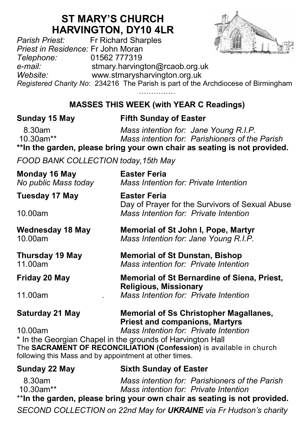# **ST MARY'S CHURCH**

**HARVINGTON, DY10 4LR**<br>Fr Richard Sharples *Pr Richard Sharples Priest in Residence:* Fr John Moran *Telephone:* 01562 777319 *e-mail:* stmary.harvington@rcaob.org.uk *Website:* www.stmarysharvington.org.uk *Registered Charity No*: 234216 The Parish is part of the Archdiocese of Birmingham

# **MASSES THIS WEEK (with YEAR C Readings)**

### **Sunday 15 May Fifth Sunday of Easter**

 8.30am *Mass intention for: Jane Young R.I.P.* **Mass intention for: Parishioners of the Parish \*\*In the garden, please bring your own chair as seating is not provided.**

*FOOD BANK COLLECTION today,15th May*

| Monday 16 May<br>No public Mass today                                                                                         | Easter Feria<br>Mass Intention for: Private Intention                                                                                                                 |  |  |  |
|-------------------------------------------------------------------------------------------------------------------------------|-----------------------------------------------------------------------------------------------------------------------------------------------------------------------|--|--|--|
| Tuesday 17 May                                                                                                                | <b>Easter Feria</b><br>Day of Prayer for the Survivors of Sexual Abuse                                                                                                |  |  |  |
| 10.00am                                                                                                                       | Mass Intention for: Private Intention                                                                                                                                 |  |  |  |
| <b>Wednesday 18 May</b><br>10.00am                                                                                            | <b>Memorial of St John I, Pope, Martyr</b><br>Mass Intention for: Jane Young R.I.P.<br><b>Memorial of St Dunstan, Bishop</b><br>Mass intention for: Private Intention |  |  |  |
| <b>Thursday 19 May</b><br>11.00am                                                                                             |                                                                                                                                                                       |  |  |  |
| Friday 20 May                                                                                                                 | Memorial of St Bernardine of Siena, Priest,<br><b>Religious, Missionary</b>                                                                                           |  |  |  |
| 11.00am                                                                                                                       | Mass Intention for: Private Intention                                                                                                                                 |  |  |  |
| Saturday 21 May                                                                                                               | <b>Memorial of Ss Christopher Magallanes,</b><br><b>Priest and companions, Martyrs</b><br>Mass Intention for: Private Intention                                       |  |  |  |
| 10.00am                                                                                                                       |                                                                                                                                                                       |  |  |  |
| * In the Georgian Chapel in the grounds of Harvington Hall                                                                    |                                                                                                                                                                       |  |  |  |
| The SACRAMENT OF RECONCILIATION (Confession) is available in church<br>following this Mass and by appointment at other times. |                                                                                                                                                                       |  |  |  |
| <b>Sunday 22 May</b>                                                                                                          | <b>Sixth Sunday of Easter</b>                                                                                                                                         |  |  |  |
| 8.30am                                                                                                                        | Mass intention for: Parishioners of the Parish                                                                                                                        |  |  |  |
| 10.30am**                                                                                                                     | Mass intention for: Private Intention                                                                                                                                 |  |  |  |
| **In the garden, please bring your own chair as seating is not provided.                                                      |                                                                                                                                                                       |  |  |  |

*SECOND COLLECTION on 22nd May for UKRAINE via Fr Hudson's charity*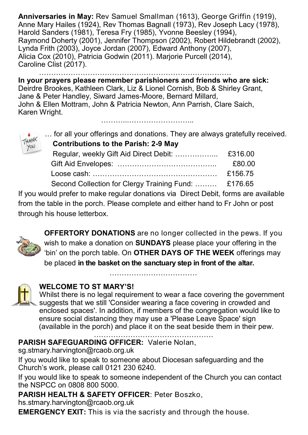**Anniversaries in May:** Rev Samuel Smallman (1613), George Griffin (1919), Anne Mary Hailes (1924), Rev Thomas Bagnall (1973), Rev Joseph Lacy (1978), Harold Sanders (1981), Teresa Fry (1985), Yvonne Beesley (1994). Raymond Doherty (2001), Jennifer Thompson (2002), Robert Hildebrandt (2002), Lynda Frith (2003), Joyce Jordan (2007), Edward Anthony (2007), Alicia Cox (2010), Patricia Godwin (2011). Marjorie Purcell (2014), Caroline Clist (2017).

……………………………………………………………………. **In your prayers please remember parishioners and friends who are sick:**  Deirdre Brookes, Kathleen Clark, Liz & Lionel Cornish, Bob & Shirley Grant, Jane & Peter Handley, Siward James-Moore, Bernard Millard, John & Ellen Mottram, John & Patricia Newton, Ann Parrish, Clare Saich, Karen Wright.

………...……………………...

… for all your offerings and donations. They are always gratefully received.

| <b>Contributions to the Parish: 2-9 May</b> |
|---------------------------------------------|
|                                             |

| $\overline{\phantom{a}}$ |                                                      |         |
|--------------------------|------------------------------------------------------|---------|
|                          |                                                      | £80.00  |
|                          |                                                      | £156.75 |
|                          | Second Collection for Clergy Training Fund:  £176.65 |         |

If you would prefer to make regular donations via Direct Debit, forms are available from the table in the porch. Please complete and either hand to Fr John or post through his house letterbox.



HANK YOU

> **OFFERTORY DONATIONS** are no longer collected in the pews. If you wish to make a donation on **SUNDAYS** please place your offering in the 'bin' on the porch table. On **OTHER DAYS OF THE WEEK** offerings may be placed **in the basket on the sanctuary step in front of the altar.**

> > ………………………………

#### **WELCOME TO ST MARY'S!**

Whilst there is no legal requirement to wear a face covering the government suggests that we still 'Consider wearing a face covering in crowded and enclosed spaces'. In addition, if members of the congregation would like to ensure social distancing they may use a 'Please Leave Space' sign (available in the porch) and place it on the seat beside them in their pew.

………………………………………….

**PARISH SAFEGUARDING OFFICER:** Valerie Nolan,

sg.stmary.harvington@rcaob.org.uk

If you would like to speak to someone about Diocesan safeguarding and the Church's work, please call 0121 230 6240.

If you would like to speak to someone independent of the Church you can contact the NSPCC on 0808 800 5000.

**PARISH HEALTH & SAFETY OFFICER**: Peter Boszko,

hs.stmary.harvington@rcaob.org.uk

**EMERGENCY EXIT:** This is via the sacristy and through the house.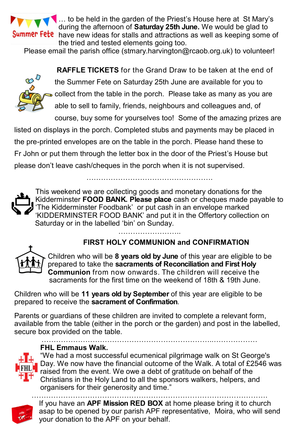

... to be held in the garden of the Priest's House here at St Mary's during the afternoon of **Saturday 25th June.** We would be glad to **Summer Fete** have new ideas for stalls and attractions as well as keeping some of the tried and tested elements going too.

Please email the parish office (stmary.harvington@rcaob.org.uk) to volunteer!



**RAFFLE TICKETS** for the Grand Draw to be taken at the end of the Summer Fete on Saturday 25th June are available for you to collect from the table in the porch. Please take as many as you are able to sell to family, friends, neighbours and colleagues and, of course, buy some for yourselves too! Some of the amazing prizes are

listed on displays in the porch. Completed stubs and payments may be placed in the pre-printed envelopes are on the table in the porch. Please hand these to Fr John or put them through the letter box in the door of the Priest's House but please don't leave cash/cheques in the porch when it is not supervised.

…………………………………………….



This weekend we are collecting goods and monetary donations for the Kidderminster **FOOD BANK. Please place** cash or cheques made payable to 'The Kidderminster Foodbank' or put cash in an envelope marked 'KIDDERMINSTER FOOD BANK' and put it in the Offertory collection on Saturday or in the labelled 'bin' on Sunday. ………………………

# **FIRST HOLY COMMUNION and CONFIRMATION**



Children who will be **8 years old by June** of this year are eligible to be prepared to take the **sacraments of Reconciliation and First Holy Communion** from now onwards. The children will receive the sacraments for the first time on the weekend of 18th & 19th June.

Children who will be **11 years old by September** of this year are eligible to be prepared to receive the **sacrament of Confirmation**.

Parents or guardians of these children are invited to complete a relevant form, available from the table (either in the porch or the garden) and post in the labelled, secure box provided on the table.



……………………………………………………………..……………… **FHL Emmaus Walk.**

"We had a most successful ecumenical pilgrimage walk on St George's Day. We now have the financial outcome of the Walk. A total of £2546 was raised from the event. We owe a debt of gratitude on behalf of the Christians in the Holy Land to all the sponsors walkers, helpers, and organisers for their generosity and time."



……………………………………………………………………………………. If you have an **APF Mission RED BOX** at home please bring it to church asap to be opened by our parish APF representative, Moira, who will send your donation to the APF on your behalf.